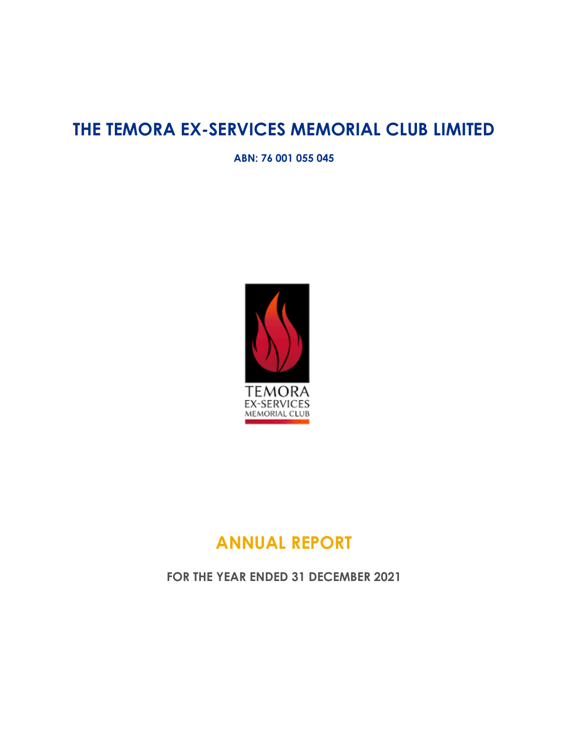# **THE TEMORA EX-SERVICES MEMORIAL CLUB LIMITED**

**ABN: 76 001 055 045**



# **ANNUAL REPORT**

**FOR THE YEAR ENDED 31 DECEMBER 2021**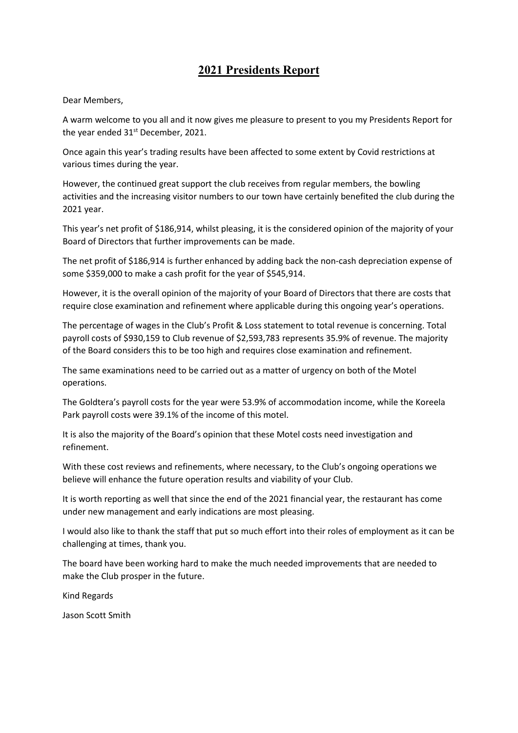# **2021 Presidents Report**

Dear Members,

A warm welcome to you all and it now gives me pleasure to present to you my Presidents Report for the year ended 31<sup>st</sup> December, 2021.

Once again this year's trading results have been affected to some extent by Covid restrictions at various times during the year.

However, the continued great support the club receives from regular members, the bowling activities and the increasing visitor numbers to our town have certainly benefited the club during the 2021 year.

This year's net profit of \$186,914, whilst pleasing, it is the considered opinion of the majority of your Board of Directors that further improvements can be made.

The net profit of \$186,914 is further enhanced by adding back the non-cash depreciation expense of some \$359,000 to make a cash profit for the year of \$545,914.

However, it is the overall opinion of the majority of your Board of Directors that there are costs that require close examination and refinement where applicable during this ongoing year's operations.

The percentage of wages in the Club's Profit & Loss statement to total revenue is concerning. Total payroll costs of \$930,159 to Club revenue of \$2,593,783 represents 35.9% of revenue. The majority of the Board considers this to be too high and requires close examination and refinement.

The same examinations need to be carried out as a matter of urgency on both of the Motel operations.

The Goldtera's payroll costs for the year were 53.9% of accommodation income, while the Koreela Park payroll costs were 39.1% of the income of this motel.

It is also the majority of the Board's opinion that these Motel costs need investigation and refinement.

With these cost reviews and refinements, where necessary, to the Club's ongoing operations we believe will enhance the future operation results and viability of your Club.

It is worth reporting as well that since the end of the 2021 financial year, the restaurant has come under new management and early indications are most pleasing.

I would also like to thank the staff that put so much effort into their roles of employment as it can be challenging at times, thank you.

The board have been working hard to make the much needed improvements that are needed to make the Club prosper in the future.

Kind Regards

Jason Scott Smith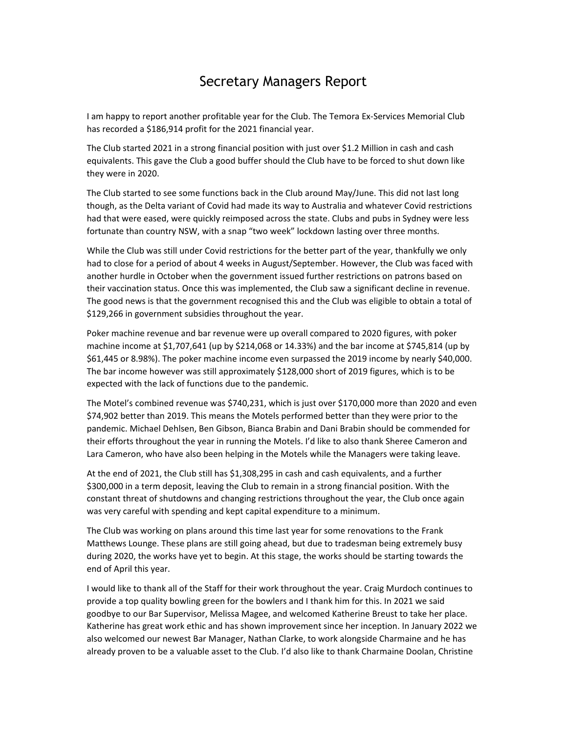# Secretary Managers Report

I am happy to report another profitable year for the Club. The Temora Ex‐Services Memorial Club has recorded a \$186,914 profit for the 2021 financial year.

The Club started 2021 in a strong financial position with just over \$1.2 Million in cash and cash equivalents. This gave the Club a good buffer should the Club have to be forced to shut down like they were in 2020.

The Club started to see some functions back in the Club around May/June. This did not last long though, as the Delta variant of Covid had made its way to Australia and whatever Covid restrictions had that were eased, were quickly reimposed across the state. Clubs and pubs in Sydney were less fortunate than country NSW, with a snap "two week" lockdown lasting over three months.

While the Club was still under Covid restrictions for the better part of the year, thankfully we only had to close for a period of about 4 weeks in August/September. However, the Club was faced with another hurdle in October when the government issued further restrictions on patrons based on their vaccination status. Once this was implemented, the Club saw a significant decline in revenue. The good news is that the government recognised this and the Club was eligible to obtain a total of \$129,266 in government subsidies throughout the year.

Poker machine revenue and bar revenue were up overall compared to 2020 figures, with poker machine income at \$1,707,641 (up by \$214,068 or 14.33%) and the bar income at \$745,814 (up by \$61,445 or 8.98%). The poker machine income even surpassed the 2019 income by nearly \$40,000. The bar income however was still approximately \$128,000 short of 2019 figures, which is to be expected with the lack of functions due to the pandemic.

The Motel's combined revenue was \$740,231, which is just over \$170,000 more than 2020 and even \$74,902 better than 2019. This means the Motels performed better than they were prior to the pandemic. Michael Dehlsen, Ben Gibson, Bianca Brabin and Dani Brabin should be commended for their efforts throughout the year in running the Motels. I'd like to also thank Sheree Cameron and Lara Cameron, who have also been helping in the Motels while the Managers were taking leave.

At the end of 2021, the Club still has \$1,308,295 in cash and cash equivalents, and a further \$300,000 in a term deposit, leaving the Club to remain in a strong financial position. With the constant threat of shutdowns and changing restrictions throughout the year, the Club once again was very careful with spending and kept capital expenditure to a minimum.

The Club was working on plans around this time last year for some renovations to the Frank Matthews Lounge. These plans are still going ahead, but due to tradesman being extremely busy during 2020, the works have yet to begin. At this stage, the works should be starting towards the end of April this year.

I would like to thank all of the Staff for their work throughout the year. Craig Murdoch continues to provide a top quality bowling green for the bowlers and I thank him for this. In 2021 we said goodbye to our Bar Supervisor, Melissa Magee, and welcomed Katherine Breust to take her place. Katherine has great work ethic and has shown improvement since her inception. In January 2022 we also welcomed our newest Bar Manager, Nathan Clarke, to work alongside Charmaine and he has already proven to be a valuable asset to the Club. I'd also like to thank Charmaine Doolan, Christine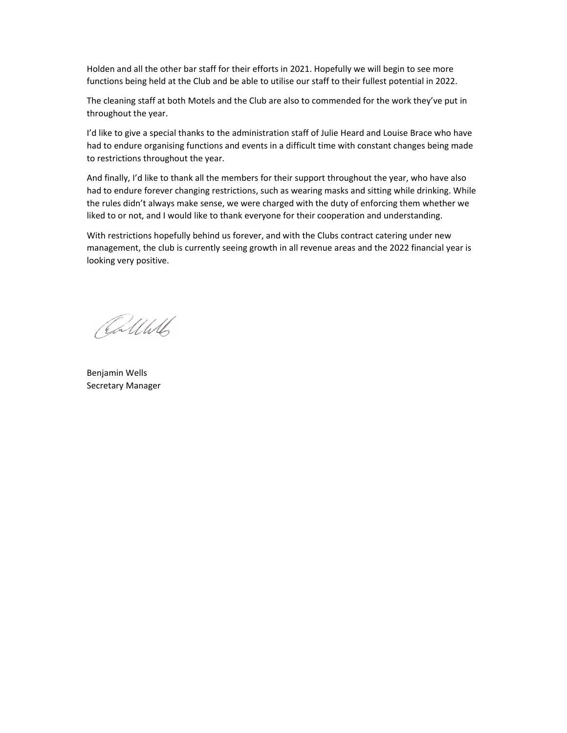Holden and all the other bar staff for their efforts in 2021. Hopefully we will begin to see more functions being held at the Club and be able to utilise our staff to their fullest potential in 2022.

The cleaning staff at both Motels and the Club are also to commended for the work they've put in throughout the year.

I'd like to give a special thanks to the administration staff of Julie Heard and Louise Brace who have had to endure organising functions and events in a difficult time with constant changes being made to restrictions throughout the year.

And finally, I'd like to thank all the members for their support throughout the year, who have also had to endure forever changing restrictions, such as wearing masks and sitting while drinking. While the rules didn't always make sense, we were charged with the duty of enforcing them whether we liked to or not, and I would like to thank everyone for their cooperation and understanding.

With restrictions hopefully behind us forever, and with the Clubs contract catering under new management, the club is currently seeing growth in all revenue areas and the 2022 financial year is looking very positive.

Rallull

Benjamin Wells Secretary Manager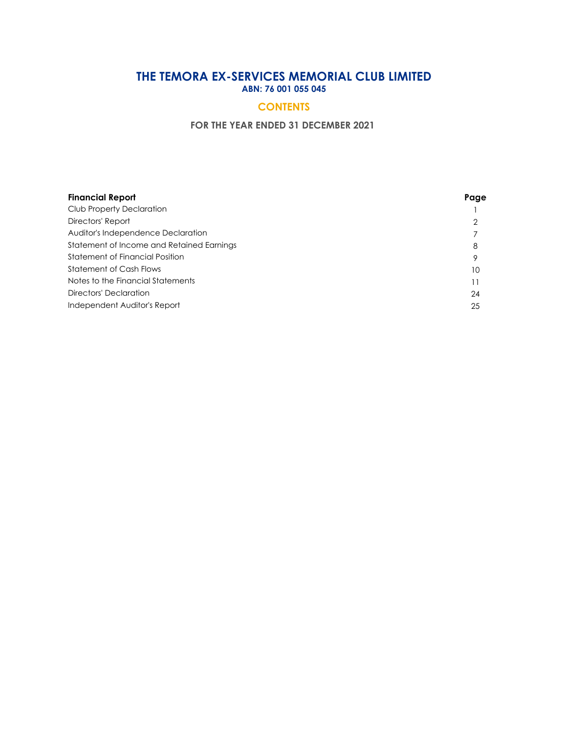# **CONTENTS**

# **FOR THE YEAR ENDED 31 DECEMBER 2021**

| <b>Financial Report</b>                   | Page |
|-------------------------------------------|------|
| Club Property Declaration                 |      |
| Directors' Report                         | 2    |
| Auditor's Independence Declaration        |      |
| Statement of Income and Retained Earnings | 8    |
| Statement of Financial Position           | 9    |
| <b>Statement of Cash Flows</b>            | 10   |
| Notes to the Financial Statements         | 11   |
| Directors' Declaration                    | 24   |
| Independent Auditor's Report              | 25   |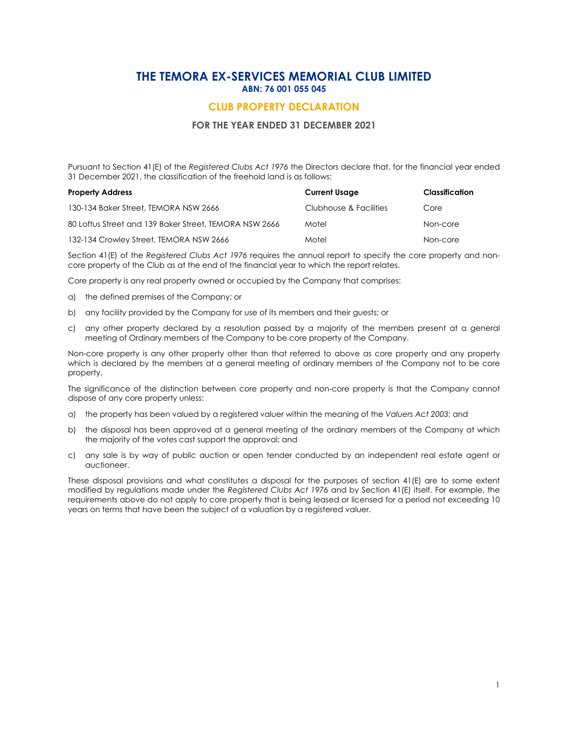# **CLUB PROPERTY DECLARATION**

### **FOR THE YEAR ENDED 31 DECEMBER 2021**

Pursuant to Section 41(E) of the *Registered Clubs Act 1976* the Directors declare that, for the financial year ended 31 December 2021, the classification of the freehold land is as follows:

| <b>Property Address</b>                                | <b>Current Usage</b>   | Classification |
|--------------------------------------------------------|------------------------|----------------|
| 130-134 Baker Street, TEMORA NSW 2666                  | Clubhouse & Facilities | Core           |
| 80 Loftus Street and 139 Baker Street, TEMORA NSW 2666 | Motel                  | Non-core       |
| 132-134 Crowley Street, TEMORA NSW 2666                | Motel                  | Non-core       |

Section 41(E) of the *Registered Clubs Act 1976* requires the annual report to specify the core property and noncore property of the Club as at the end of the financial year to which the report relates.

Core property is any real property owned or occupied by the Company that comprises:

- a) the defined premises of the Company; or
- b) any facility provided by the Company for use of its members and their guests; or
- c) any other property declared by a resolution passed by a majority of the members present at a general meeting of Ordinary members of the Company to be core property of the Company.

Non-core property is any other property other than that referred to above as core property and any property which is declared by the members at a general meeting of ordinary members of the Company not to be core property.

The significance of the distinction between core property and non-core property is that the Company cannot dispose of any core property unless:

- a) the property has been valued by a registered valuer within the meaning of the *Valuers Act 2003*; and
- b) the disposal has been approved at a general meeting of the ordinary members of the Company at which the majority of the votes cast support the approval; and
- c) any sale is by way of public auction or open tender conducted by an independent real estate agent or auctioneer.

These disposal provisions and what constitutes a disposal for the purposes of section 41(E) are to some extent modified by regulations made under the *Registered Clubs Act 1976* and by Section 41(E) itself. For example, the requirements above do not apply to core property that is being leased or licensed for a period not exceeding 10 years on terms that have been the subject of a valuation by a registered valuer.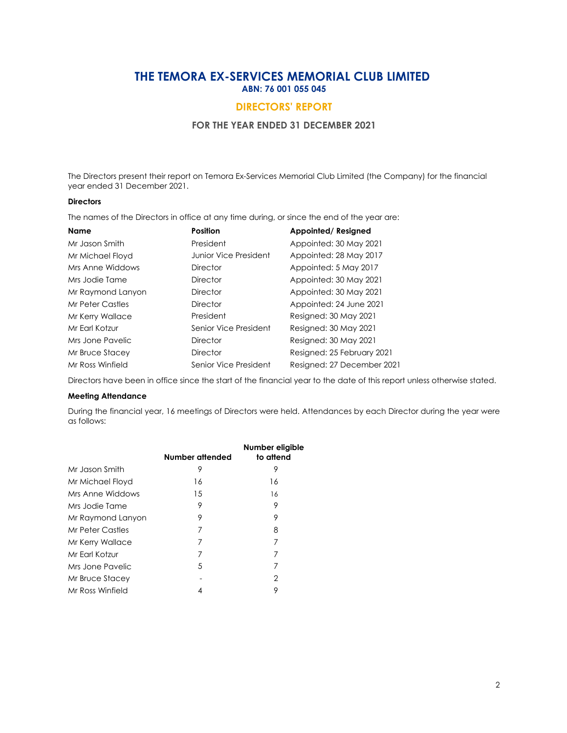# **DIRECTORS' REPORT**

# **FOR THE YEAR ENDED 31 DECEMBER 2021**

The Directors present their report on Temora Ex-Services Memorial Club Limited (the Company) for the financial year ended 31 December 2021.

### **Directors**

The names of the Directors in office at any time during, or since the end of the year are:

| Name                    | <b>Position</b>       | Appointed/Resigned         |
|-------------------------|-----------------------|----------------------------|
| Mr Jason Smith          | President             | Appointed: 30 May 2021     |
| Mr Michael Floyd        | Junior Vice President | Appointed: 28 May 2017     |
| Mrs Anne Widdows        | <b>Director</b>       | Appointed: 5 May 2017      |
| Mrs Jodie Tame          | <b>Director</b>       | Appointed: 30 May 2021     |
| Mr Raymond Lanyon       | <b>Director</b>       | Appointed: 30 May 2021     |
| <b>Mr Peter Castles</b> | <b>Director</b>       | Appointed: 24 June 2021    |
| Mr Kerry Wallace        | President             | Resigned: 30 May 2021      |
| Mr Earl Kotzur          | Senior Vice President | Resigned: 30 May 2021      |
| Mrs Jone Pavelic        | <b>Director</b>       | Resigned: 30 May 2021      |
| Mr Bruce Stacey         | <b>Director</b>       | Resigned: 25 February 2021 |
| Mr Ross Winfield        | Senior Vice President | Resigned: 27 December 2021 |

Directors have been in office since the start of the financial year to the date of this report unless otherwise stated.

#### **Meeting Attendance**

During the financial year, 16 meetings of Directors were held. Attendances by each Director during the year were as follows:

|                         | Number attended | Number eligible<br>to attend |
|-------------------------|-----------------|------------------------------|
| Mr Jason Smith          | 9               | 9                            |
| Mr Michael Floyd        | 16              | 16                           |
| Mrs Anne Widdows        | 15              | 16                           |
| Mrs Jodie Tame          | 9               | 9                            |
| Mr Raymond Lanyon       | 9               | 9                            |
| <b>Mr Peter Castles</b> | 7               | 8                            |
| Mr Kerry Wallace        | 7               | 7                            |
| Mr Earl Kotzur          | 7               | 7                            |
| Mrs Jone Pavelic        | 5               | 7                            |
| Mr Bruce Stacey         |                 | 2                            |
| Mr Ross Winfield        |                 | 9                            |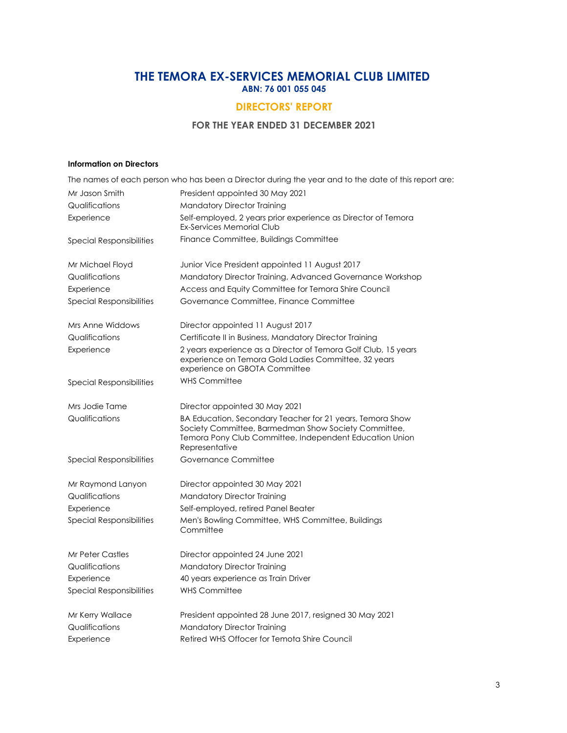# **DIRECTORS' REPORT**

### **FOR THE YEAR ENDED 31 DECEMBER 2021**

### **Information on Directors**

The names of each person who has been a Director during the year and to the date of this report are:

| Mr Jason Smith                     | President appointed 30 May 2021                                                                                                                                                                |
|------------------------------------|------------------------------------------------------------------------------------------------------------------------------------------------------------------------------------------------|
| Qualifications                     | <b>Mandatory Director Training</b>                                                                                                                                                             |
| Experience                         | Self-employed, 2 years prior experience as Director of Temora<br>Ex-Services Memorial Club                                                                                                     |
| <b>Special Responsibilities</b>    | Finance Committee, Buildings Committee                                                                                                                                                         |
| Mr Michael Floyd                   | Junior Vice President appointed 11 August 2017                                                                                                                                                 |
| Qualifications                     | Mandatory Director Training, Advanced Governance Workshop                                                                                                                                      |
| Experience                         | Access and Equity Committee for Temora Shire Council                                                                                                                                           |
| <b>Special Responsibilities</b>    | Governance Committee, Finance Committee                                                                                                                                                        |
| Mrs Anne Widdows                   | Director appointed 11 August 2017                                                                                                                                                              |
| Qualifications                     | Certificate II in Business, Mandatory Director Training                                                                                                                                        |
| Experience                         | 2 years experience as a Director of Temora Golf Club, 15 years<br>experience on Temora Gold Ladies Committee, 32 years<br>experience on GBOTA Committee                                        |
| <b>Special Responsibilities</b>    | <b>WHS Committee</b>                                                                                                                                                                           |
| Mrs Jodie Tame                     | Director appointed 30 May 2021                                                                                                                                                                 |
| Qualifications                     | BA Education, Secondary Teacher for 21 years, Temora Show<br>Society Committee, Barmedman Show Society Committee,<br>Temora Pony Club Committee, Independent Education Union<br>Representative |
| <b>Special Responsibilities</b>    | Governance Committee                                                                                                                                                                           |
| Mr Raymond Lanyon                  | Director appointed 30 May 2021                                                                                                                                                                 |
| Qualifications                     | <b>Mandatory Director Training</b>                                                                                                                                                             |
| Experience                         | Self-employed, retired Panel Beater                                                                                                                                                            |
| <b>Special Responsibilities</b>    | Men's Bowling Committee, WHS Committee, Buildings<br>Committee                                                                                                                                 |
| <b>Mr Peter Castles</b>            | Director appointed 24 June 2021                                                                                                                                                                |
| Qualifications                     | <b>Mandatory Director Training</b>                                                                                                                                                             |
| Experience                         | 40 years experience as Train Driver                                                                                                                                                            |
| <b>Special Responsibilities</b>    | <b>WHS Committee</b>                                                                                                                                                                           |
| Mr Kerry Wallace<br>Qualifications | President appointed 28 June 2017, resigned 30 May 2021<br><b>Mandatory Director Training</b>                                                                                                   |
| Experience                         | Retired WHS Offocer for Temota Shire Council                                                                                                                                                   |
|                                    |                                                                                                                                                                                                |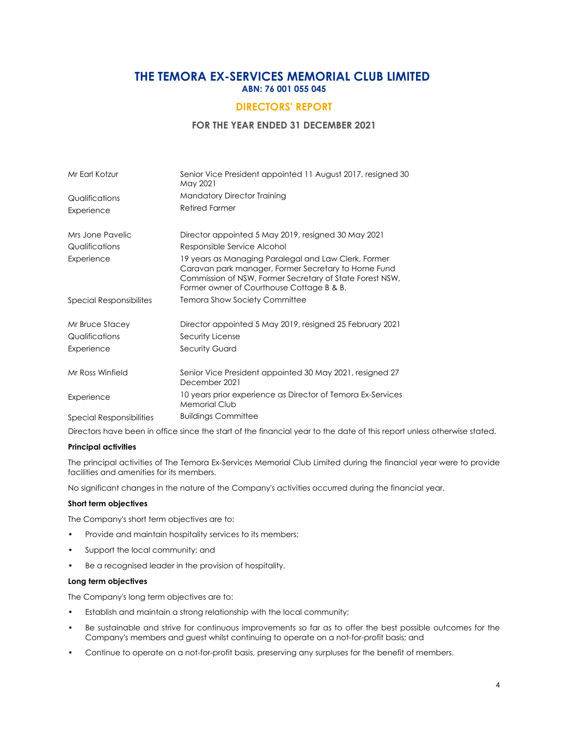# **DIRECTORS' REPORT**

### **FOR THE YEAR ENDED 31 DECEMBER 2021**

| Mr Earl Kotzur                  | Senior Vice President appointed 11 August 2017, resigned 30<br>May 2021                                                                                                                                              |
|---------------------------------|----------------------------------------------------------------------------------------------------------------------------------------------------------------------------------------------------------------------|
| Qualifications                  | <b>Mandatory Director Training</b>                                                                                                                                                                                   |
| Experience                      | <b>Retired Farmer</b>                                                                                                                                                                                                |
| Mrs Jone Pavelic                | Director appointed 5 May 2019, resigned 30 May 2021                                                                                                                                                                  |
| Qualifications                  | Responsible Service Alcohol                                                                                                                                                                                          |
| Experience                      | 19 years as Managing Paralegal and Law Clerk, Former<br>Caravan park manager, Former Secretary to Home Fund<br>Commission of NSW, Former Secretary of State Forest NSW,<br>Former owner of Courthouse Cottage B & B. |
| <b>Special Responsibilites</b>  | Temora Show Society Committee                                                                                                                                                                                        |
| Mr Bruce Stacey                 | Director appointed 5 May 2019, resigned 25 February 2021                                                                                                                                                             |
| Qualifications                  | Security License                                                                                                                                                                                                     |
| Experience                      | <b>Security Guard</b>                                                                                                                                                                                                |
| Mr Ross Winfield                | Senior Vice President appointed 30 May 2021, resigned 27<br>December 2021                                                                                                                                            |
| Experience                      | 10 years prior experience as Director of Temora Ex-Services<br><b>Memorial Club</b>                                                                                                                                  |
| <b>Special Responsibilities</b> | <b>Buildings Committee</b>                                                                                                                                                                                           |

Directors have been in office since the start of the financial year to the date of this report unless otherwise stated.

#### **Principal activities**

The principal activities of The Temora Ex-Services Memorial Club Limited during the financial year were to provide facilities and amenities for its members.

No significant changes in the nature of the Company's activities occurred during the financial year.

### **Short term objectives**

The Company's short term objectives are to:

- Provide and maintain hospitality services to its members;
- Support the local community; and
- Be a recognised leader in the provision of hospitality.

#### **Long term objectives**

The Company's long term objectives are to:

- Establish and maintain a strong relationship with the local community;
- Be sustainable and strive for continuous improvements so far as to offer the best possible outcomes for the Company's members and guest whilst continuing to operate on a not-for-profit basis; and
- Continue to operate on a not-for-profit basis, preserving any surpluses for the benefit of members.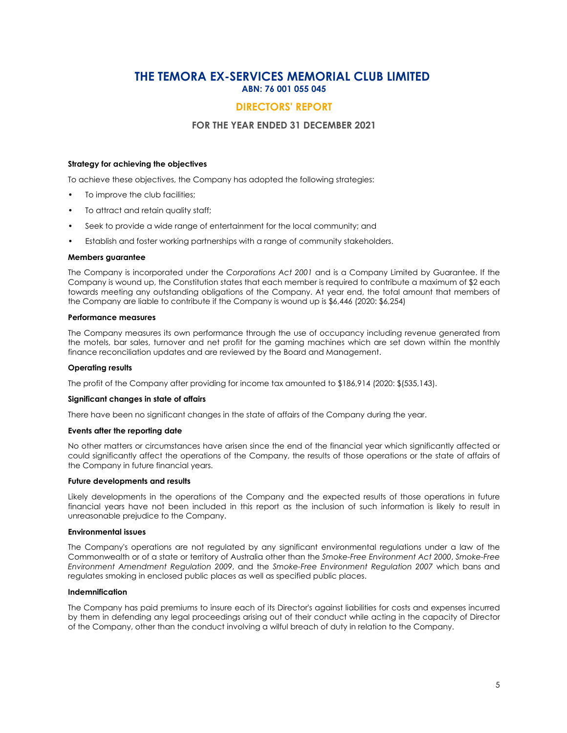# **DIRECTORS' REPORT**

## **FOR THE YEAR ENDED 31 DECEMBER 2021**

### **Strategy for achieving the objectives**

To achieve these objectives, the Company has adopted the following strategies:

- To improve the club facilities;
- To attract and retain quality staff;
- Seek to provide a wide range of entertainment for the local community; and
- Establish and foster working partnerships with a range of community stakeholders.

#### **Members guarantee**

The Company is incorporated under the *Corporations Act 2001* and is a Company Limited by Guarantee. If the Company is wound up, the Constitution states that each member is required to contribute a maximum of \$2 each towards meeting any outstanding obligations of the Company. At year end, the total amount that members of the Company are liable to contribute if the Company is wound up is \$6,446 (2020: \$6,254)

#### **Performance measures**

The Company measures its own performance through the use of occupancy including revenue generated from the motels, bar sales, turnover and net profit for the gaming machines which are set down within the monthly finance reconciliation updates and are reviewed by the Board and Management.

#### **Operating results**

The profit of the Company after providing for income tax amounted to \$186,914 (2020: \$(535,143).

#### **Significant changes in state of affairs**

There have been no significant changes in the state of affairs of the Company during the year.

### **Events after the reporting date**

No other matters or circumstances have arisen since the end of the financial year which significantly affected or could significantly affect the operations of the Company, the results of those operations or the state of affairs of the Company in future financial years.

#### **Future developments and results**

Likely developments in the operations of the Company and the expected results of those operations in future financial years have not been included in this report as the inclusion of such information is likely to result in unreasonable prejudice to the Company.

#### **Environmental issues**

The Company's operations are not regulated by any significant environmental regulations under a law of the Commonwealth or of a state or territory of Australia other than the *Smoke-Free Environment Act 2000*, *Smoke-Free Environment Amendment Regulation 2009*, and the *Smoke-Free Environment Regulation 2007* which bans and regulates smoking in enclosed public places as well as specified public places.

### **Indemnification**

The Company has paid premiums to insure each of its Director's against liabilities for costs and expenses incurred by them in defending any legal proceedings arising out of their conduct while acting in the capacity of Director of the Company, other than the conduct involving a wilful breach of duty in relation to the Company.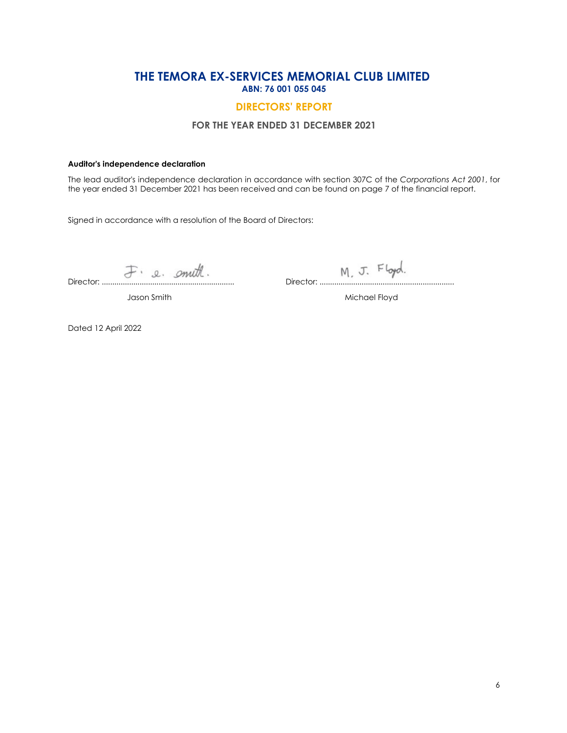# **DIRECTORS' REPORT**

## **FOR THE YEAR ENDED 31 DECEMBER 2021**

### **Auditor's independence declaration**

The lead auditor's independence declaration in accordance with section 307C of the *Corporations Act 2001*, for the year ended 31 December 2021 has been received and can be found on page 7 of the financial report.

Signed in accordance with a resolution of the Board of Directors:

 $F \cdot a$ .  $cmut.$ 

 $M, J. F$ loyd.

Jason Smith

Michael Floyd

Dated 12 April 2022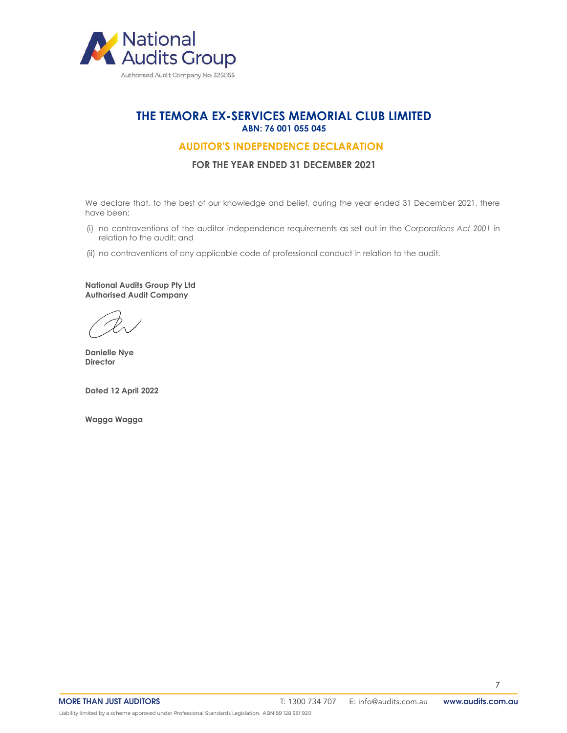

# **AUDITOR'S INDEPENDENCE DECLARATION**

**FOR THE YEAR ENDED 31 DECEMBER 2021**

We declare that, to the best of our knowledge and belief, during the year ended 31 December 2021, there have been:

- (i) no contraventions of the auditor independence requirements as set out in the *Corporations Act 2001* in relation to the audit; and
- (ii) no contraventions of any applicable code of professional conduct in relation to the audit.

**National Audits Group Pty Ltd Authorised Audit Company**

**Danielle Nye Director**

**Dated 12 April 2022**

**Wagga Wagga**

Liability limited by a scheme approved under Professional Standards Legislation. ABN 89 128 381 920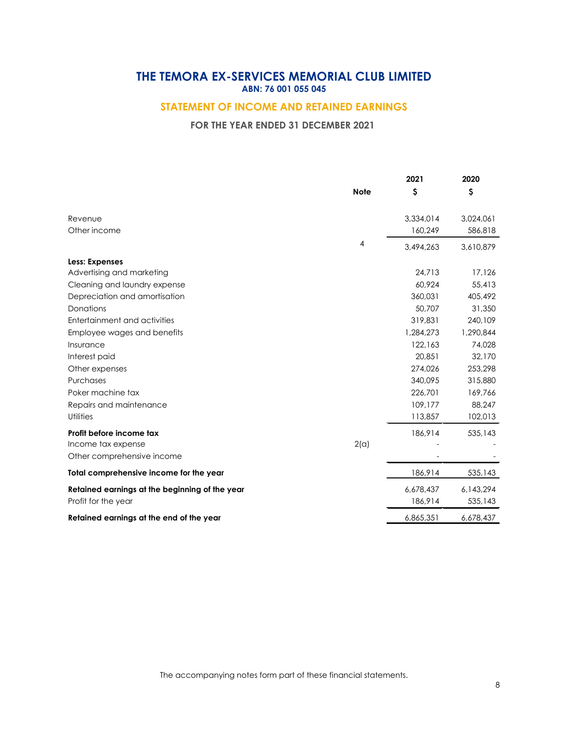# **STATEMENT OF INCOME AND RETAINED EARNINGS**

# **FOR THE YEAR ENDED 31 DECEMBER 2021**

|                                                | 2021      | 2020      |
|------------------------------------------------|-----------|-----------|
| <b>Note</b>                                    | \$        | \$        |
|                                                |           |           |
| Revenue                                        | 3,334,014 | 3,024,061 |
| Other income                                   | 160,249   | 586,818   |
| 4                                              | 3,494,263 | 3,610,879 |
| Less: Expenses                                 |           |           |
| Advertising and marketing                      | 24,713    | 17,126    |
| Cleaning and laundry expense                   | 60.924    | 55,413    |
| Depreciation and amortisation                  | 360,031   | 405,492   |
| Donations                                      | 50,707    | 31,350    |
| Entertainment and activities                   | 319,831   | 240,109   |
| Employee wages and benefits                    | 1,284,273 | 1,290,844 |
| Insurance                                      | 122,163   | 74,028    |
| Interest paid                                  | 20,851    | 32,170    |
| Other expenses                                 | 274,026   | 253,298   |
| Purchases                                      | 340,095   | 315,880   |
| Poker machine tax                              | 226,701   | 169,766   |
| Repairs and maintenance                        | 109,177   | 88,247    |
| Utilities                                      | 113,857   | 102,013   |
| Profit before income tax                       | 186,914   | 535,143   |
| $2(\alpha)$<br>Income tax expense              |           |           |
| Other comprehensive income                     |           |           |
| Total comprehensive income for the year        | 186,914   | 535,143   |
| Retained earnings at the beginning of the year | 6,678,437 | 6,143,294 |
| Profit for the year                            | 186,914   | 535,143   |
| Retained earnings at the end of the year       | 6,865,351 | 6,678,437 |

The accompanying notes form part of these financial statements.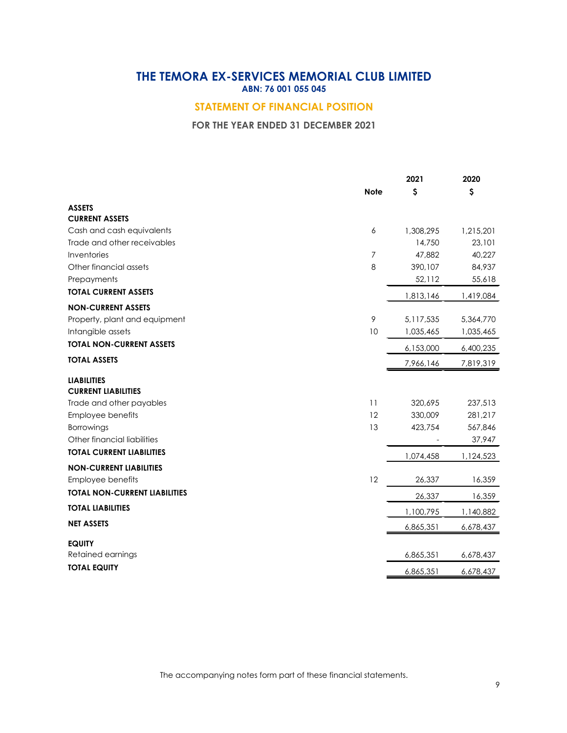# **STATEMENT OF FINANCIAL POSITION**

# **FOR THE YEAR ENDED 31 DECEMBER 2021**

|                                      | 2021      | 2020      |
|--------------------------------------|-----------|-----------|
| <b>Note</b>                          | \$        | \$        |
| <b>ASSETS</b>                        |           |           |
| <b>CURRENT ASSETS</b>                |           |           |
| Cash and cash equivalents<br>6       | 1,308,295 | 1,215,201 |
| Trade and other receivables          | 14,750    | 23,101    |
| Inventories<br>$\overline{7}$        | 47,882    | 40,227    |
| Other financial assets<br>8          | 390,107   | 84,937    |
| Prepayments                          | 52,112    | 55,618    |
| <b>TOTAL CURRENT ASSETS</b>          | 1,813,146 | 1,419,084 |
| <b>NON-CURRENT ASSETS</b>            |           |           |
| 9<br>Property, plant and equipment   | 5,117,535 | 5,364,770 |
| 10<br>Intangible assets              | 1,035,465 | 1,035,465 |
| <b>TOTAL NON-CURRENT ASSETS</b>      | 6,153,000 | 6,400,235 |
| <b>TOTAL ASSETS</b>                  | 7,966,146 | 7,819,319 |
| <b>LIABILITIES</b>                   |           |           |
| <b>CURRENT LIABILITIES</b>           |           |           |
| 11<br>Trade and other payables       | 320,695   | 237,513   |
| 12<br>Employee benefits              | 330,009   | 281,217   |
| 13<br>Borrowings                     | 423,754   | 567,846   |
| Other financial liabilities          |           | 37,947    |
| <b>TOTAL CURRENT LIABILITIES</b>     | 1,074,458 | 1,124,523 |
| <b>NON-CURRENT LIABILITIES</b>       |           |           |
| 12<br><b>Employee benefits</b>       | 26,337    | 16,359    |
| <b>TOTAL NON-CURRENT LIABILITIES</b> | 26,337    | 16,359    |
| <b>TOTAL LIABILITIES</b>             | 1,100,795 | 1,140,882 |
| <b>NET ASSETS</b>                    | 6,865,351 | 6,678,437 |
| <b>EQUITY</b>                        |           |           |
| Retained earnings                    | 6,865,351 | 6,678,437 |
| <b>TOTAL EQUITY</b>                  | 6,865,351 | 6,678,437 |

The accompanying notes form part of these financial statements.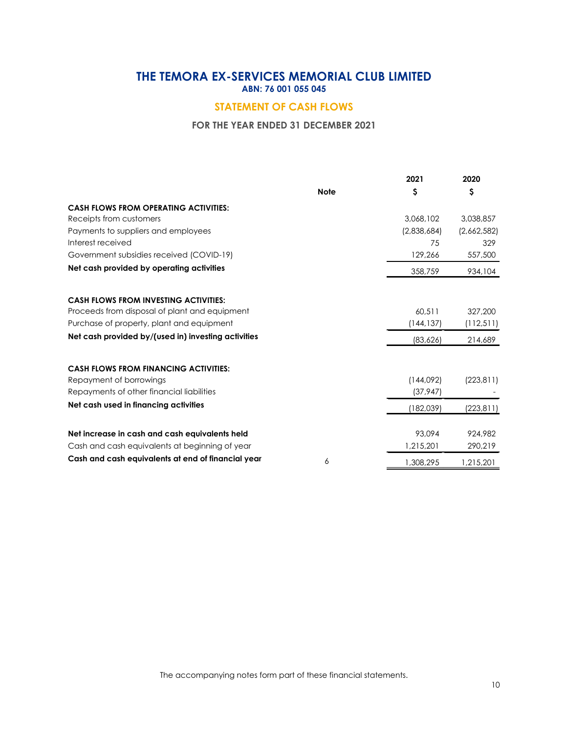# **STATEMENT OF CASH FLOWS**

# **FOR THE YEAR ENDED 31 DECEMBER 2021**

|                                                     |             | 2021        | 2020        |
|-----------------------------------------------------|-------------|-------------|-------------|
|                                                     | <b>Note</b> | \$          | \$          |
| <b>CASH FLOWS FROM OPERATING ACTIVITIES:</b>        |             |             |             |
| Receipts from customers                             |             | 3,068,102   | 3,038,857   |
| Payments to suppliers and employees                 |             | (2,838,684) | (2,662,582) |
| Interest received                                   |             | 75          | 329         |
| Government subsidies received (COVID-19)            |             | 129,266     | 557,500     |
| Net cash provided by operating activities           |             | 358,759     | 934,104     |
| <b>CASH FLOWS FROM INVESTING ACTIVITIES:</b>        |             |             |             |
| Proceeds from disposal of plant and equipment       |             | 60.511      | 327,200     |
| Purchase of property, plant and equipment           |             | (144, 137)  | (112, 511)  |
| Net cash provided by/(used in) investing activities |             | (83,626)    | 214,689     |
| <b>CASH FLOWS FROM FINANCING ACTIVITIES:</b>        |             |             |             |
| Repayment of borrowings                             |             | (144,092)   | (223, 811)  |
| Repayments of other financial liabilities           |             | (37,947)    |             |
| Net cash used in financing activities               |             | (182, 039)  | (223, 811)  |
| Net increase in cash and cash equivalents held      |             | 93.094      | 924,982     |
| Cash and cash equivalents at beginning of year      |             | 1,215,201   | 290,219     |
| Cash and cash equivalents at end of financial year  | 6           | 1,308,295   | 1,215,201   |

The accompanying notes form part of these financial statements.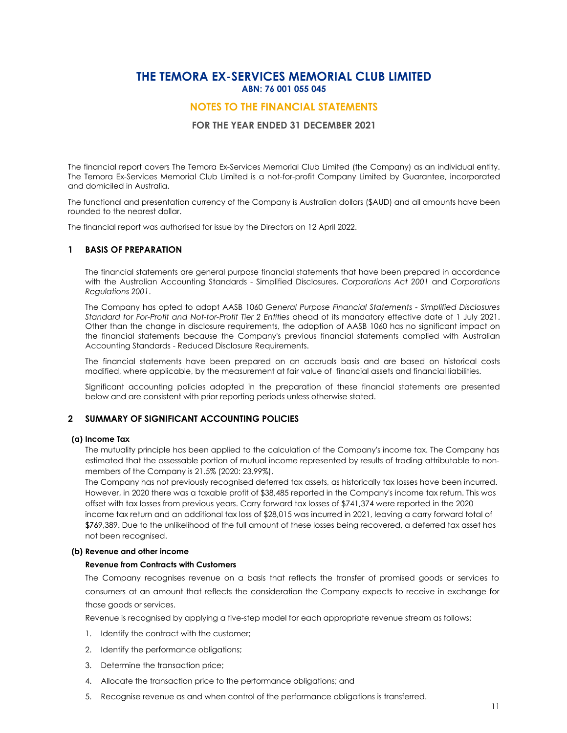# **NOTES TO THE FINANCIAL STATEMENTS**

### **FOR THE YEAR ENDED 31 DECEMBER 2021**

The financial report covers The Temora Ex-Services Memorial Club Limited (the Company) as an individual entity. The Temora Ex-Services Memorial Club Limited is a not-for-profit Company Limited by Guarantee, incorporated and domiciled in Australia.

The functional and presentation currency of the Company is Australian dollars (\$AUD) and all amounts have been rounded to the nearest dollar.

The financial report was authorised for issue by the Directors on 12 April 2022.

### **1 BASIS OF PREPARATION**

The financial statements are general purpose financial statements that have been prepared in accordance with the Australian Accounting Standards - Simplified Disclosures, *Corporations Act 2001* and *Corporations Regulations 2001*.

The Company has opted to adopt AASB 1060 *General Purpose Financial Statements - Simplified Disclosures Standard for For-Profit and Not-for-Profit Tier 2 Entities* ahead of its mandatory effective date of 1 July 2021. Other than the change in disclosure requirements, the adoption of AASB 1060 has no significant impact on the financial statements because the Company's previous financial statements complied with Australian Accounting Standards - Reduced Disclosure Requirements.

The financial statements have been prepared on an accruals basis and are based on historical costs modified, where applicable, by the measurement at fair value of financial assets and financial liabilities.

Significant accounting policies adopted in the preparation of these financial statements are presented below and are consistent with prior reporting periods unless otherwise stated.

### **2 SUMMARY OF SIGNIFICANT ACCOUNTING POLICIES**

#### **(a) Income Tax**

The mutuality principle has been applied to the calculation of the Company's income tax. The Company has estimated that the assessable portion of mutual income represented by results of trading attributable to nonmembers of the Company is 21.5% (2020: 23.99%).

The Company has not previously recognised deferred tax assets, as historically tax losses have been incurred. However, in 2020 there was a taxable profit of \$38,485 reported in the Company's income tax return. This was offset with tax losses from previous years. Carry forward tax losses of \$741,374 were reported in the 2020 income tax return and an additional tax loss of \$28,015 was incurred in 2021, leaving a carry forward total of \$769,389. Due to the unlikelihood of the full amount of these losses being recovered, a deferred tax asset has not been recognised.

#### **(b) Revenue and other income**

### **Revenue from Contracts with Customers**

The Company recognises revenue on a basis that reflects the transfer of promised goods or services to consumers at an amount that reflects the consideration the Company expects to receive in exchange for those goods or services.

Revenue is recognised by applying a five-step model for each appropriate revenue stream as follows:

- 1. Identify the contract with the customer;
- 2. Identify the performance obligations;
- 3. Determine the transaction price;
- 4. Allocate the transaction price to the performance obligations; and
- 5. Recognise revenue as and when control of the performance obligations is transferred.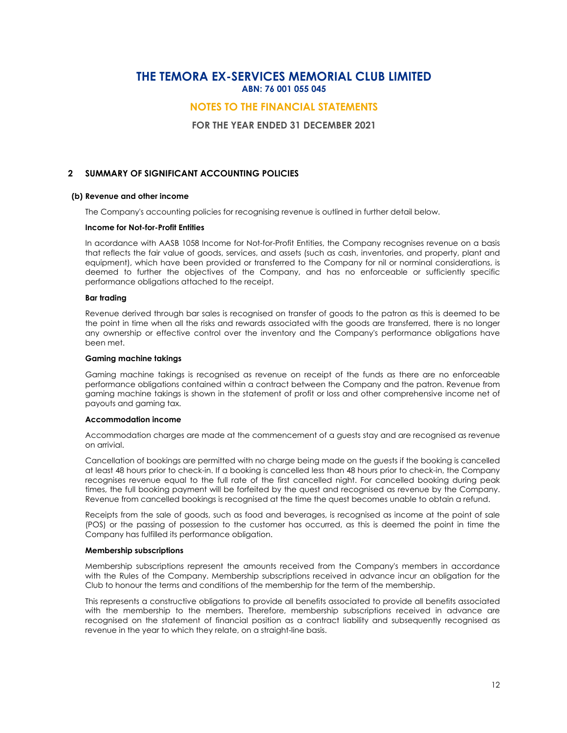# **NOTES TO THE FINANCIAL STATEMENTS**

### **FOR THE YEAR ENDED 31 DECEMBER 2021**

### **2 SUMMARY OF SIGNIFICANT ACCOUNTING POLICIES**

#### **(b) Revenue and other income**

The Company's accounting policies for recognising revenue is outlined in further detail below.

#### **Income for Not-for-Profit Entities**

In acordance with AASB 1058 Income for Not-for-Profit Entities, the Company recognises revenue on a basis that reflects the fair value of goods, services, and assets (such as cash, inventories, and property, plant and equipment), which have been provided or transferred to the Company for nil or norminal considerations, is deemed to further the objectives of the Company, and has no enforceable or sufficiently specific performance obligations attached to the receipt.

#### **Bar trading**

Revenue derived through bar sales is recognised on transfer of goods to the patron as this is deemed to be the point in time when all the risks and rewards associated with the goods are transferred, there is no longer any ownership or effective control over the inventory and the Company's performance obligations have been met.

#### **Gaming machine takings**

Gaming machine takings is recognised as revenue on receipt of the funds as there are no enforceable performance obligations contained within a contract between the Company and the patron. Revenue from gaming machine takings is shown in the statement of profit or loss and other comprehensive income net of payouts and gaming tax.

#### **Accommodation income**

Accommodation charges are made at the commencement of a guests stay and are recognised as revenue on arrivial.

Cancellation of bookings are permitted with no charge being made on the guests if the booking is cancelled at least 48 hours prior to check-in. If a booking is cancelled less than 48 hours prior to check-in, the Company recognises revenue equal to the full rate of the first cancelled night. For cancelled booking during peak times, the full booking payment will be forfeited by the quest and recognised as revenue by the Company. Revenue from cancelled bookings is recognised at the time the quest becomes unable to obtain a refund.

Receipts from the sale of goods, such as food and beverages, is recognised as income at the point of sale (POS) or the passing of possession to the customer has occurred, as this is deemed the point in time the Company has fulfilled its performance obligation.

### **Membership subscriptions**

Membership subscriptions represent the amounts received from the Company's members in accordance with the Rules of the Company. Membership subscriptions received in advance incur an obligation for the Club to honour the terms and conditions of the membership for the term of the membership.

This represents a constructive obligations to provide all benefits associated to provide all benefits associated with the membership to the members. Therefore, membership subscriptions received in advance are recognised on the statement of financial position as a contract liability and subsequently recognised as revenue in the year to which they relate, on a straight-line basis.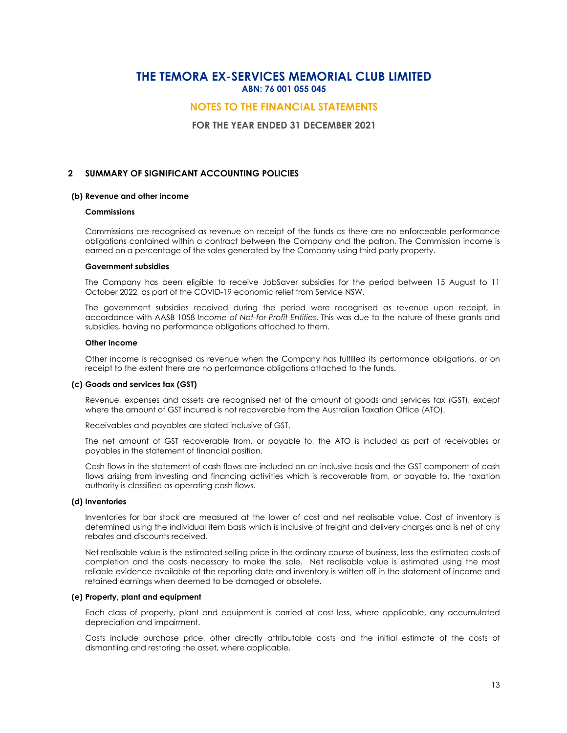# **NOTES TO THE FINANCIAL STATEMENTS**

### **FOR THE YEAR ENDED 31 DECEMBER 2021**

### **2 SUMMARY OF SIGNIFICANT ACCOUNTING POLICIES**

#### **(b) Revenue and other income**

#### **Commissions**

Commissions are recognised as revenue on receipt of the funds as there are no enforceable performance obligations contained within a contract between the Company and the patron. The Commission income is earned on a percentage of the sales generated by the Company using third-party property.

#### **Government subsidies**

The Company has been eligible to receive JobSaver subsidies for the period between 15 August to 11 October 2022, as part of the COVID-19 economic relief from Service NSW.

The government subsidies received during the period were recognised as revenue upon receipt, in accordance with AASB 1058 *Income of Not-for-Profit Entities*. This was due to the nature of these grants and subsidies, having no performance obligations attached to them.

#### **Other income**

Other income is recognised as revenue when the Company has fulfilled its performance obligations, or on receipt to the extent there are no performance obligations attached to the funds.

#### **(c) Goods and services tax (GST)**

Revenue, expenses and assets are recognised net of the amount of goods and services tax (GST), except where the amount of GST incurred is not recoverable from the Australian Taxation Office (ATO).

Receivables and payables are stated inclusive of GST.

The net amount of GST recoverable from, or payable to, the ATO is included as part of receivables or payables in the statement of financial position.

Cash flows in the statement of cash flows are included on an inclusive basis and the GST component of cash flows arising from investing and financing activities which is recoverable from, or payable to, the taxation authority is classified as operating cash flows.

### **(d) Inventories**

Inventories for bar stock are measured at the lower of cost and net realisable value. Cost of inventory is determined using the individual item basis which is inclusive of freight and delivery charges and is net of any rebates and discounts received.

Net realisable value is the estimated selling price in the ordinary course of business, less the estimated costs of completion and the costs necessary to make the sale. Net realisable value is estimated using the most reliable evidence available at the reporting date and inventory is written off in the statement of income and retained earnings when deemed to be damaged or obsolete.

### **(e) Property, plant and equipment**

Each class of property, plant and equipment is carried at cost less, where applicable, any accumulated depreciation and impairment.

Costs include purchase price, other directly attributable costs and the initial estimate of the costs of dismantling and restoring the asset, where applicable.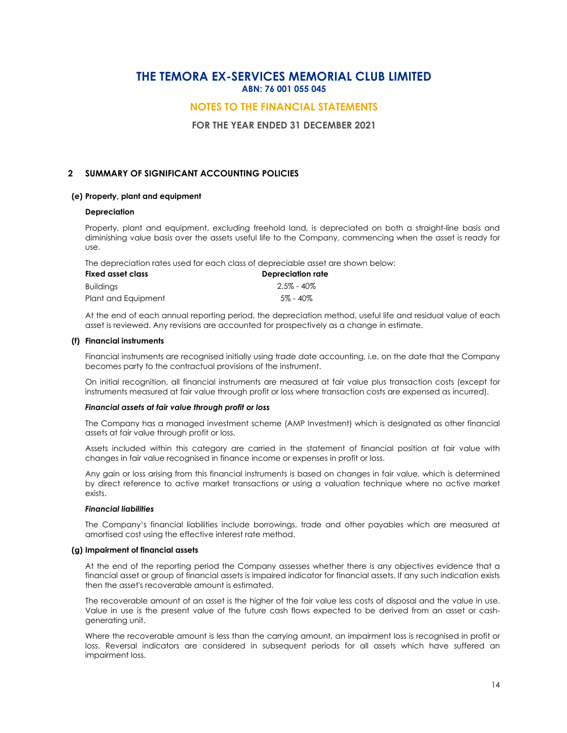# **NOTES TO THE FINANCIAL STATEMENTS**

### **FOR THE YEAR ENDED 31 DECEMBER 2021**

### **2 SUMMARY OF SIGNIFICANT ACCOUNTING POLICIES**

#### **(e) Property, plant and equipment**

#### **Depreciation**

Property, plant and equipment, excluding freehold land, is depreciated on both a straight-line basis and diminishing value basis over the assets useful life to the Company, commencing when the asset is ready for use.

The depreciation rates used for each class of depreciable asset are shown below:

| Depreciation rate |
|-------------------|
| $2.5\%$ - 40%     |
| $5\%$ - 40%       |
|                   |

At the end of each annual reporting period, the depreciation method, useful life and residual value of each asset is reviewed. Any revisions are accounted for prospectively as a change in estimate.

### **(f) Financial instruments**

Financial instruments are recognised initially using trade date accounting, i.e. on the date that the Company becomes party to the contractual provisions of the instrument.

On initial recognition, all financial instruments are measured at fair value plus transaction costs (except for instruments measured at fair value through profit or loss where transaction costs are expensed as incurred).

#### *Financial assets at fair value through profit or loss*

The Company has a managed investment scheme (AMP Investment) which is designated as other financial assets at fair value through profit or loss.

Assets included within this category are carried in the statement of financial position at fair value with changes in fair value recognised in finance income or expenses in profit or loss.

Any gain or loss arising from this financial instruments is based on changes in fair value, which is determined by direct reference to active market transactions or using a valuation technique where no active market exists.

### *Financial liabilities*

The Company's financial liabilities include borrowings, trade and other payables which are measured at amortised cost using the effective interest rate method.

#### **(g) Impairment of financial assets**

At the end of the reporting period the Company assesses whether there is any objectives evidence that a financial asset or group of financial assets is impaired indicator for financial assets. If any such indication exists then the asset's recoverable amount is estimated.

The recoverable amount of an asset is the higher of the fair value less costs of disposal and the value in use. Value in use is the present value of the future cash flows expected to be derived from an asset or cashgenerating unit.

Where the recoverable amount is less than the carrying amount, an impairment loss is recognised in profit or loss. Reversal indicators are considered in subsequent periods for all assets which have suffered an impairment loss.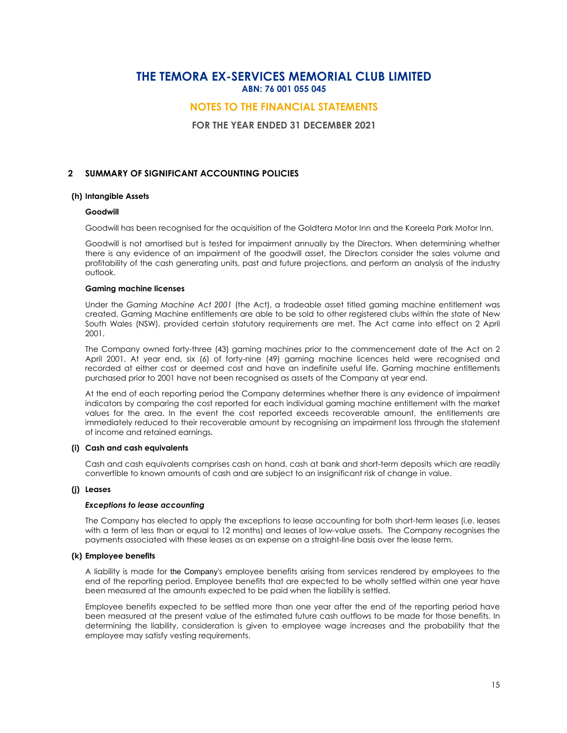# **NOTES TO THE FINANCIAL STATEMENTS**

### **FOR THE YEAR ENDED 31 DECEMBER 2021**

### **2 SUMMARY OF SIGNIFICANT ACCOUNTING POLICIES**

#### **(h) Intangible Assets**

#### **Goodwill**

Goodwill has been recognised for the acquisition of the Goldtera Motor Inn and the Koreela Park Motor Inn.

Goodwill is not amortised but is tested for impairment annually by the Directors. When determining whether there is any evidence of an impairment of the goodwill asset, the Directors consider the sales volume and profitability of the cash generating units, past and future projections, and perform an analysis of the industry outlook.

#### **Gaming machine licenses**

Under the *Gaming Machine Act 2001* (the Act), a tradeable asset titled gaming machine entitlement was created. Gaming Machine entitlements are able to be sold to other registered clubs within the state of New South Wales (NSW), provided certain statutory requirements are met. The Act came into effect on 2 April 2001.

The Company owned forty-three (43) gaming machines prior to the commencement date of the Act on 2 April 2001. At year end, six (6) of forty-nine (49) gaming machine licences held were recognised and recorded at either cost or deemed cost and have an indefinite useful life. Gaming machine entitlements purchased prior to 2001 have not been recognised as assets of the Company at year end.

At the end of each reporting period the Company determines whether there is any evidence of impairment indicators by comparing the cost reported for each individual gaming machine entitlement with the market values for the area. In the event the cost reported exceeds recoverable amount, the entitlements are immediately reduced to their recoverable amount by recognising an impairment loss through the statement of income and retained earnings.

### **(i) Cash and cash equivalents**

Cash and cash equivalents comprises cash on hand, cash at bank and short-term deposits which are readily convertible to known amounts of cash and are subject to an insignificant risk of change in value.

#### **(j) Leases**

#### *Exceptions to lease accounting*

The Company has elected to apply the exceptions to lease accounting for both short-term leases (i.e. leases with a term of less than or equal to 12 months) and leases of low-value assets. The Company recognises the payments associated with these leases as an expense on a straight-line basis over the lease term.

#### **(k) Employee benefits**

A liability is made for the Company's employee benefits arising from services rendered by employees to the end of the reporting period. Employee benefits that are expected to be wholly settled within one year have been measured at the amounts expected to be paid when the liability is settled.

Employee benefits expected to be settled more than one year after the end of the reporting period have been measured at the present value of the estimated future cash outflows to be made for those benefits. In determining the liability, consideration is given to employee wage increases and the probability that the employee may satisfy vesting requirements.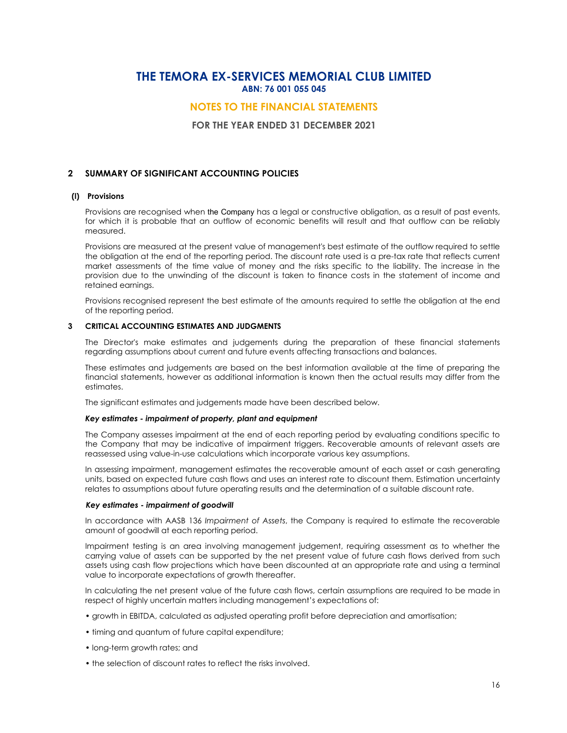# **NOTES TO THE FINANCIAL STATEMENTS**

### **FOR THE YEAR ENDED 31 DECEMBER 2021**

### **2 SUMMARY OF SIGNIFICANT ACCOUNTING POLICIES**

### **(l) Provisions**

Provisions are recognised when the Company has a legal or constructive obligation, as a result of past events, for which it is probable that an outflow of economic benefits will result and that outflow can be reliably measured.

Provisions are measured at the present value of management's best estimate of the outflow required to settle the obligation at the end of the reporting period. The discount rate used is a pre-tax rate that reflects current market assessments of the time value of money and the risks specific to the liability. The increase in the provision due to the unwinding of the discount is taken to finance costs in the statement of income and retained earnings.

Provisions recognised represent the best estimate of the amounts required to settle the obligation at the end of the reporting period.

### **3 CRITICAL ACCOUNTING ESTIMATES AND JUDGMENTS**

The Director's make estimates and judgements during the preparation of these financial statements regarding assumptions about current and future events affecting transactions and balances.

These estimates and judgements are based on the best information available at the time of preparing the financial statements, however as additional information is known then the actual results may differ from the estimates.

The significant estimates and judgements made have been described below.

#### *Key estimates - impairment of property, plant and equipment*

The Company assesses impairment at the end of each reporting period by evaluating conditions specific to the Company that may be indicative of impairment triggers. Recoverable amounts of relevant assets are reassessed using value-in-use calculations which incorporate various key assumptions.

In assessing impairment, management estimates the recoverable amount of each asset or cash generating units, based on expected future cash flows and uses an interest rate to discount them. Estimation uncertainty relates to assumptions about future operating results and the determination of a suitable discount rate.

#### *Key estimates - impairment of goodwill*

In accordance with AASB 136 *Impairment of Assets*, the Company is required to estimate the recoverable amount of goodwill at each reporting period.

Impairment testing is an area involving management judgement, requiring assessment as to whether the carrying value of assets can be supported by the net present value of future cash flows derived from such assets using cash flow projections which have been discounted at an appropriate rate and using a terminal value to incorporate expectations of growth thereafter.

In calculating the net present value of the future cash flows, certain assumptions are required to be made in respect of highly uncertain matters including management's expectations of:

- growth in EBITDA, calculated as adjusted operating profit before depreciation and amortisation;
- timing and quantum of future capital expenditure;
- long-term growth rates; and
- the selection of discount rates to reflect the risks involved.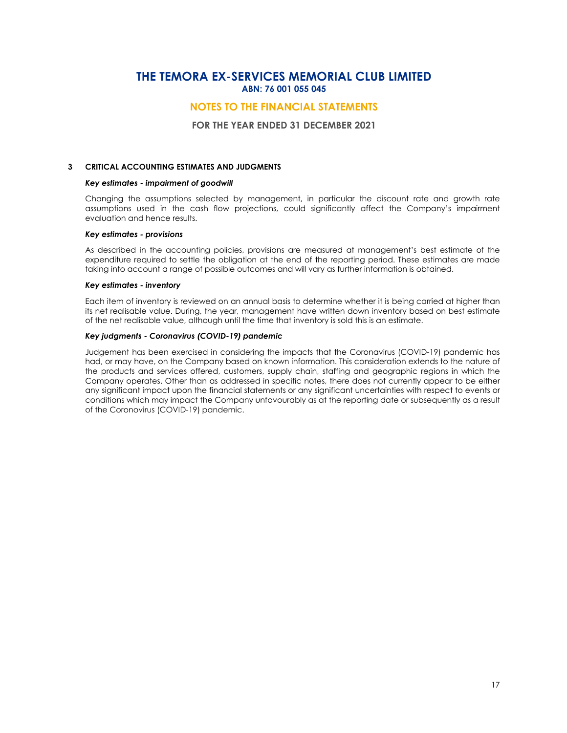# **NOTES TO THE FINANCIAL STATEMENTS**

### **FOR THE YEAR ENDED 31 DECEMBER 2021**

#### **3 CRITICAL ACCOUNTING ESTIMATES AND JUDGMENTS**

#### *Key estimates - impairment of goodwill*

Changing the assumptions selected by management, in particular the discount rate and growth rate assumptions used in the cash flow projections, could significantly affect the Company's impairment evaluation and hence results.

#### *Key estimates - provisions*

As described in the accounting policies, provisions are measured at management's best estimate of the expenditure required to settle the obligation at the end of the reporting period. These estimates are made taking into account a range of possible outcomes and will vary as further information is obtained.

#### *Key estimates - inventory*

Each item of inventory is reviewed on an annual basis to determine whether it is being carried at higher than its net realisable value. During, the year, management have written down inventory based on best estimate of the net realisable value, although until the time that inventory is sold this is an estimate.

### *Key judgments - Coronavirus (COVID-19) pandemic*

Judgement has been exercised in considering the impacts that the Coronavirus (COVID-19) pandemic has had, or may have, on the Company based on known information. This consideration extends to the nature of the products and services offered, customers, supply chain, staffing and geographic regions in which the Company operates. Other than as addressed in specific notes, there does not currently appear to be either any significant impact upon the financial statements or any significant uncertainties with respect to events or conditions which may impact the Company unfavourably as at the reporting date or subsequently as a result of the Coronovirus (COVID-19) pandemic.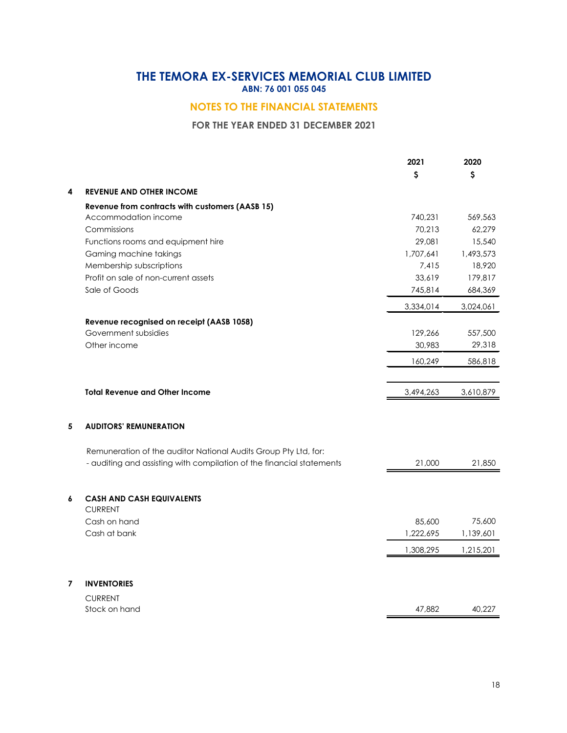# **NOTES TO THE FINANCIAL STATEMENTS**

# **FOR THE YEAR ENDED 31 DECEMBER 2021**

|                |                                                                       | 2021      | 2020      |
|----------------|-----------------------------------------------------------------------|-----------|-----------|
|                |                                                                       | \$        | \$        |
| 4              | <b>REVENUE AND OTHER INCOME</b>                                       |           |           |
|                | Revenue from contracts with customers (AASB 15)                       |           |           |
|                | Accommodation income                                                  | 740,231   | 569,563   |
|                | Commissions                                                           | 70,213    | 62,279    |
|                | Functions rooms and equipment hire                                    | 29,081    | 15,540    |
|                | Gaming machine takings                                                | 1,707,641 | 1,493,573 |
|                | Membership subscriptions                                              | 7,415     | 18,920    |
|                | Profit on sale of non-current assets                                  | 33,619    | 179,817   |
|                | Sale of Goods                                                         | 745,814   | 684,369   |
|                |                                                                       | 3,334,014 | 3,024,061 |
|                | Revenue recognised on receipt (AASB 1058)                             |           |           |
|                | Government subsidies                                                  | 129,266   | 557,500   |
|                | Other income                                                          | 30,983    | 29,318    |
|                |                                                                       | 160,249   | 586,818   |
|                | <b>Total Revenue and Other Income</b>                                 | 3,494,263 | 3,610,879 |
| 5              | <b>AUDITORS' REMUNERATION</b>                                         |           |           |
|                | Remuneration of the auditor National Audits Group Pty Ltd, for:       |           |           |
|                | - auditing and assisting with compilation of the financial statements | 21,000    | 21,850    |
| 6              | <b>CASH AND CASH EQUIVALENTS</b><br><b>CURRENT</b>                    |           |           |
|                | Cash on hand                                                          | 85,600    | 75,600    |
|                | Cash at bank                                                          | 1,222,695 | 1,139,601 |
|                |                                                                       | 1,308,295 | 1,215,201 |
| $\overline{7}$ | <b>INVENTORIES</b>                                                    |           |           |
|                | <b>CURRENT</b>                                                        |           |           |
|                | Stock on hand                                                         | 47,882    | 40,227    |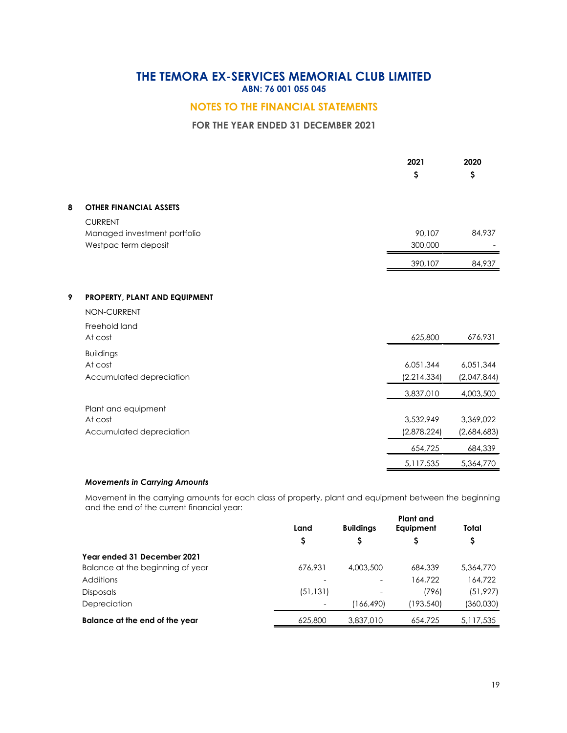# **NOTES TO THE FINANCIAL STATEMENTS**

# **FOR THE YEAR ENDED 31 DECEMBER 2021**

|   |                               | 2021<br>\$    | 2020<br>\$  |
|---|-------------------------------|---------------|-------------|
| 8 | <b>OTHER FINANCIAL ASSETS</b> |               |             |
|   | <b>CURRENT</b>                |               |             |
|   | Managed investment portfolio  | 90,107        | 84,937      |
|   | Westpac term deposit          | 300,000       |             |
|   |                               | 390,107       | 84,937      |
|   |                               |               |             |
| 9 | PROPERTY, PLANT AND EQUIPMENT |               |             |
|   | NON-CURRENT                   |               |             |
|   | Freehold land                 |               |             |
|   | At cost                       | 625,800       | 676,931     |
|   | <b>Buildings</b>              |               |             |
|   | At cost                       | 6,051,344     | 6,051,344   |
|   | Accumulated depreciation      | (2, 214, 334) | (2,047,844) |
|   |                               | 3,837,010     | 4,003,500   |
|   | Plant and equipment           |               |             |
|   | At cost                       | 3,532,949     | 3,369,022   |
|   | Accumulated depreciation      | (2,878,224)   | (2,684,683) |
|   |                               | 654,725       | 684,339     |
|   |                               | 5,117,535     | 5,364,770   |

## *Movements in Carrying Amounts*

Movement in the carrying amounts for each class of property, plant and equipment between the beginning and the end of the current financial year:

|                                  | Land      | <b>Buildinas</b>         | Plant and<br>Equipment | Total       |
|----------------------------------|-----------|--------------------------|------------------------|-------------|
|                                  | \$        | \$                       | S                      | \$          |
| Year ended 31 December 2021      |           |                          |                        |             |
| Balance at the beginning of year | 676.931   | 4,003,500                | 684,339                | 5,364,770   |
| <b>Additions</b>                 |           | ۰                        | 164,722                | 164,722     |
| <b>Disposals</b>                 | (51, 131) | $\overline{\phantom{a}}$ | (796)                  | (51, 927)   |
| Depreciation                     |           | (166,490)                | (193,540)              | (360,030)   |
| Balance at the end of the year   | 625,800   | 3,837,010                | 654,725                | 5, 117, 535 |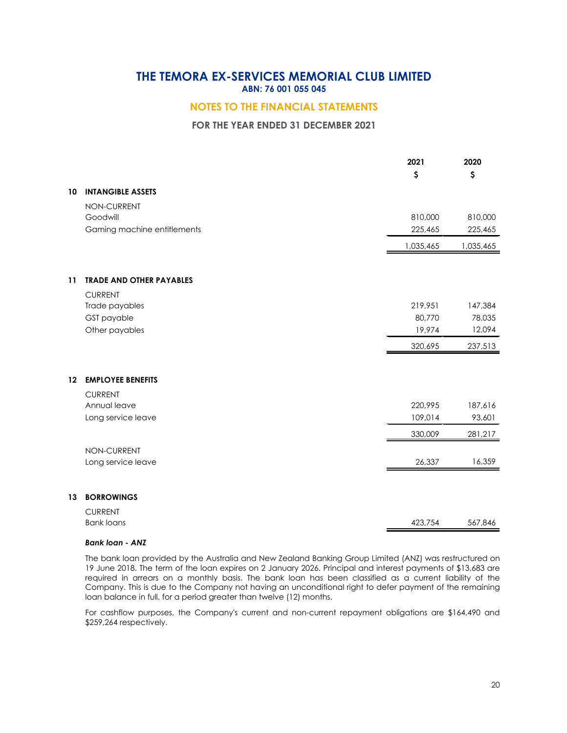# **NOTES TO THE FINANCIAL STATEMENTS**

## **FOR THE YEAR ENDED 31 DECEMBER 2021**

|         |                                  | 2021               | 2020              |
|---------|----------------------------------|--------------------|-------------------|
|         |                                  | \$                 | \$                |
| 10      | <b>INTANGIBLE ASSETS</b>         |                    |                   |
|         | NON-CURRENT                      |                    |                   |
|         | Goodwill                         | 810,000            | 810,000           |
|         | Gaming machine entitlements      | 225,465            | 225,465           |
|         |                                  | 1,035,465          | 1,035,465         |
| 11      | <b>TRADE AND OTHER PAYABLES</b>  |                    |                   |
|         |                                  |                    |                   |
|         | <b>CURRENT</b><br>Trade payables | 219,951            | 147,384           |
|         | GST payable                      | 80,770             | 78,035            |
|         | Other payables                   | 19,974             | 12,094            |
|         |                                  | 320,695            | 237,513           |
|         |                                  |                    |                   |
| $12 \,$ | <b>EMPLOYEE BENEFITS</b>         |                    |                   |
|         | <b>CURRENT</b>                   |                    |                   |
|         | Annual leave                     | 220,995<br>109,014 | 187,616<br>93,601 |
|         | Long service leave               |                    |                   |
|         |                                  | 330,009            | 281,217           |
|         | NON-CURRENT                      |                    |                   |
|         | Long service leave               | 26,337             | 16,359            |
|         |                                  |                    |                   |
| 13      | <b>BORROWINGS</b>                |                    |                   |
|         | <b>CURRENT</b>                   |                    |                   |
|         | <b>Bank loans</b>                | 423,754            | 567,846           |

### *Bank loan - ANZ*

The bank loan provided by the Australia and New Zealand Banking Group Limited (ANZ) was restructured on 19 June 2018. The term of the loan expires on 2 January 2026. Principal and interest payments of \$13,683 are required in arrears on a monthly basis. The bank loan has been classified as a current liability of the Company. This is due to the Company not having an unconditional right to defer payment of the remaining loan balance in full, for a period greater than twelve (12) months.

For cashflow purposes, the Company's current and non-current repayment obligations are \$164,490 and \$259,264 respectively.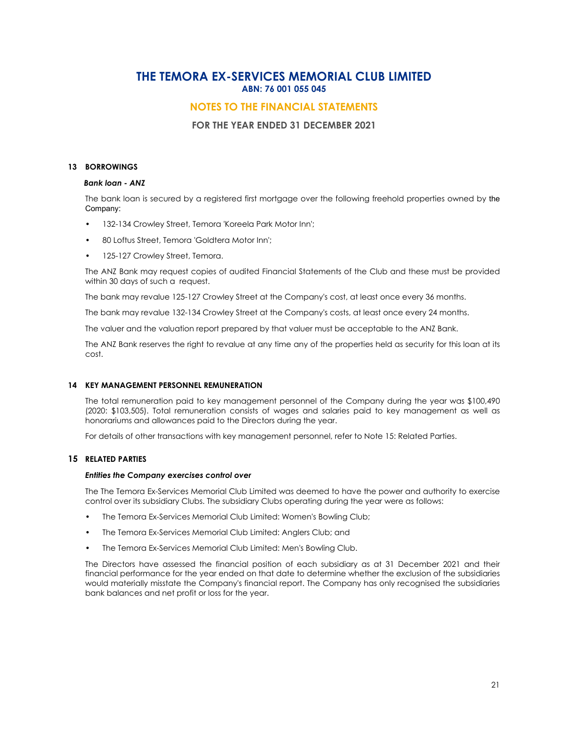# **NOTES TO THE FINANCIAL STATEMENTS**

### **FOR THE YEAR ENDED 31 DECEMBER 2021**

### **13 BORROWINGS**

#### *Bank loan - ANZ*

The bank loan is secured by a registered first mortgage over the following freehold properties owned by the Company:

- 132-134 Crowley Street, Temora 'Koreela Park Motor Inn';
- 80 Loftus Street, Temora 'Goldtera Motor Inn';
- 125-127 Crowley Street, Temora.

The ANZ Bank may request copies of audited Financial Statements of the Club and these must be provided within 30 days of such a request.

The bank may revalue 125-127 Crowley Street at the Company's cost, at least once every 36 months.

The bank may revalue 132-134 Crowley Street at the Company's costs, at least once every 24 months.

The valuer and the valuation report prepared by that valuer must be acceptable to the ANZ Bank.

The ANZ Bank reserves the right to revalue at any time any of the properties held as security for this loan at its cost.

#### **14 KEY MANAGEMENT PERSONNEL REMUNERATION**

The total remuneration paid to key management personnel of the Company during the year was \$100,490 (2020: \$103,505). Total remuneration consists of wages and salaries paid to key management as well as honorariums and allowances paid to the Directors during the year.

For details of other transactions with key management personnel, refer to Note 15: Related Parties.

### **15 RELATED PARTIES**

#### *Entities the Company exercises control over*

The The Temora Ex-Services Memorial Club Limited was deemed to have the power and authority to exercise control over its subsidiary Clubs. The subsidiary Clubs operating during the year were as follows:

- The Temora Ex-Services Memorial Club Limited: Women's Bowling Club;
- The Temora Ex-Services Memorial Club Limited: Anglers Club; and
- The Temora Ex-Services Memorial Club Limited: Men's Bowling Club.

The Directors have assessed the financial position of each subsidiary as at 31 December 2021 and their financial performance for the year ended on that date to determine whether the exclusion of the subsidiaries would materially misstate the Company's financial report. The Company has only recognised the subsidiaries bank balances and net profit or loss for the year.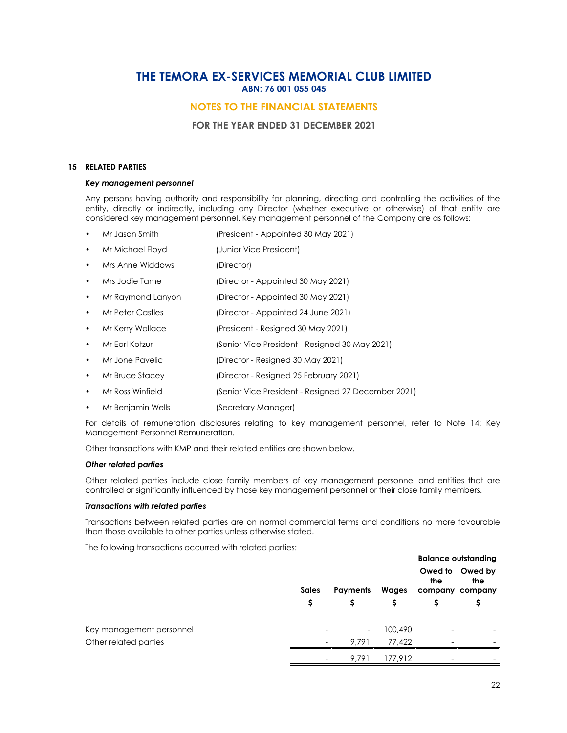# **NOTES TO THE FINANCIAL STATEMENTS**

### **FOR THE YEAR ENDED 31 DECEMBER 2021**

### **15 RELATED PARTIES**

#### *Key management personnel*

Any persons having authority and responsibility for planning, directing and controlling the activities of the entity, directly or indirectly, including any Director (whether executive or otherwise) of that entity are considered key management personnel. Key management personnel of the Company are as follows:

- Mr Jason Smith (President Appointed 30 May 2021)
- Mr Michael Floyd (Junior Vice President)
- Mrs Anne Widdows (Director)
- Mrs Jodie Tame (Director Appointed 30 May 2021)
- Mr Raymond Lanyon (Director Appointed 30 May 2021)
- Mr Peter Castles (Director Appointed 24 June 2021)
- Mr Kerry Wallace (President Resigned 30 May 2021)
- Mr Earl Kotzur (Senior Vice President Resigned 30 May 2021)
- Mr Jone Pavelic (Director Resigned 30 May 2021)
- Mr Bruce Stacey (Director Resigned 25 February 2021)
- Mr Ross Winfield (Senior Vice President Resigned 27 December 2021)
- Mr Benjamin Wells (Secretary Manager)

For details of remuneration disclosures relating to key management personnel, refer to Note 14: Key Management Personnel Remuneration.

Other transactions with KMP and their related entities are shown below.

#### *Other related parties*

Other related parties include close family members of key management personnel and entities that are controlled or significantly influenced by those key management personnel or their close family members.

#### *Transactions with related parties*

Transactions between related parties are on normal commercial terms and conditions no more favourable than those available to other parties unless otherwise stated.

The following transactions occurred with related parties:

|                          |       |                 |         | <b>Balance outstanding</b> |                           |
|--------------------------|-------|-----------------|---------|----------------------------|---------------------------|
|                          | Sales | <b>Payments</b> | Wages   | Owed to<br>the<br>company  | Owed by<br>the<br>company |
|                          | Ş     |                 |         |                            |                           |
| Key management personnel |       | ٠               | 100,490 |                            |                           |
| Other related parties    | -     | 9.791           | 77.422  | ٠                          |                           |
|                          | ۰     | 9,791           | 177.912 |                            |                           |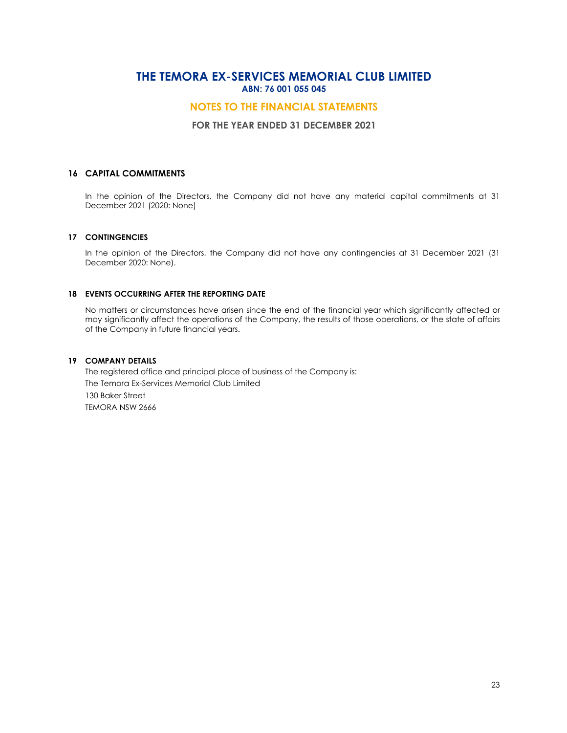# **NOTES TO THE FINANCIAL STATEMENTS**

### **FOR THE YEAR ENDED 31 DECEMBER 2021**

### **16 CAPITAL COMMITMENTS**

In the opinion of the Directors, the Company did not have any material capital commitments at 31 December 2021 (2020: None)

#### **17 CONTINGENCIES**

In the opinion of the Directors, the Company did not have any contingencies at 31 December 2021 (31 December 2020: None).

#### **18 EVENTS OCCURRING AFTER THE REPORTING DATE**

No matters or circumstances have arisen since the end of the financial year which significantly affected or may significantly affect the operations of the Company, the results of those operations, or the state of affairs of the Company in future financial years.

#### **19 COMPANY DETAILS**

The registered office and principal place of business of the Company is: The Temora Ex-Services Memorial Club Limited 130 Baker Street TEMORA NSW 2666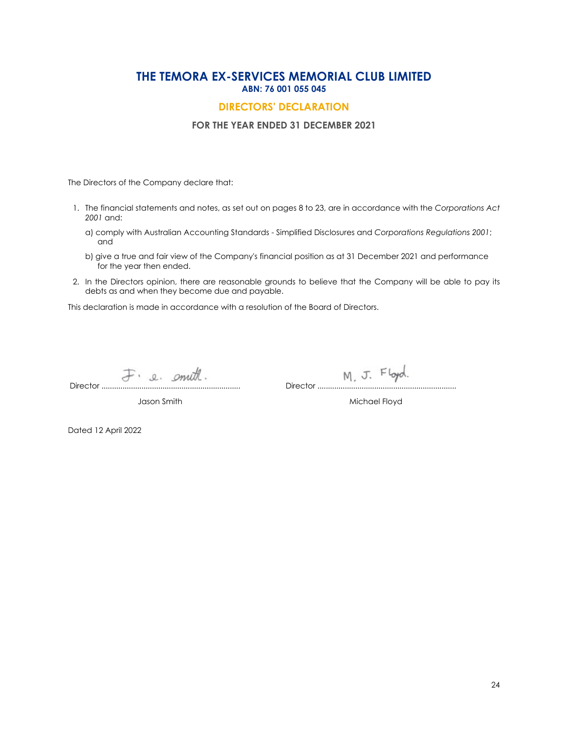# **DIRECTORS' DECLARATION**

# **FOR THE YEAR ENDED 31 DECEMBER 2021**

The Directors of the Company declare that:

- 1. The financial statements and notes, as set out on pages 8 to 23, are in accordance with the *Corporations Act 2001* and:
	- a) comply with Australian Accounting Standards Simplified Disclosures and *Corporations Regulations 2001*; and
	- b) give a true and fair view of the Company's financial position as at 31 December 2021 and performance for the year then ended.
- 2. In the Directors opinion, there are reasonable grounds to believe that the Company will be able to pay its debts as and when they become due and payable.

This declaration is made in accordance with a resolution of the Board of Directors.

 $F \cdot a \cdot \text{mult}.$ 

 $M, J. F$   $\omega$ .

Jason Smith

Michael Floyd

Dated 12 April 2022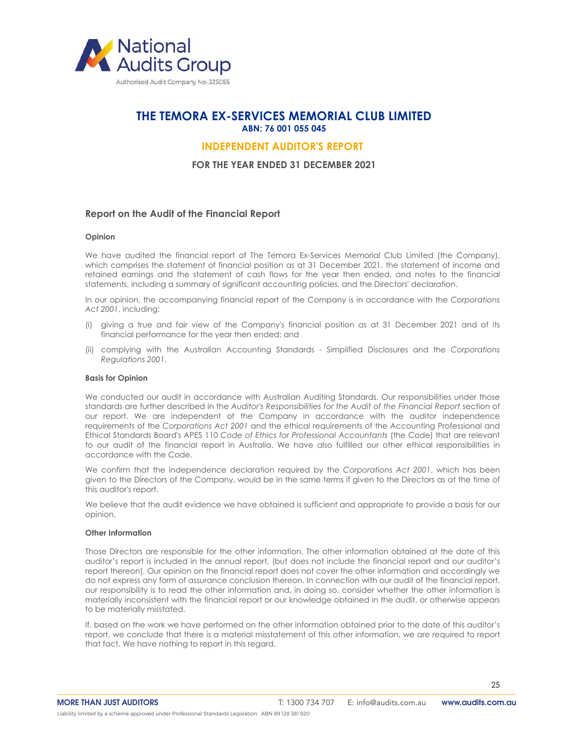

# **INDEPENDENT AUDITOR'S REPORT**

**FOR THE YEAR ENDED 31 DECEMBER 2021**

# **Report on the Audit of the Financial Report**

#### **Opinion**

We have audited the financial report of The Temora Ex-Services Memorial Club Limited (the Company), which comprises the statement of financial position as at 31 December 2021, the statement of income and retained earnings and the statement of cash flows for the year then ended, and notes to the financial statements, including a summary of significant accounting policies, and the Directors' declaration.

In our opinion, the accompanying financial report of the Company is in accordance with the *Corporations Act 2001*, including:

- (i) giving a true and fair view of the Company's financial position as at 31 December 2021 and of its financial performance for the year then ended; and
- (ii) complying with the Australian Accounting Standards Simplified Disclosures and the *Corporations Regulations 2001*.

#### **Basis for Opinion**

We conducted our audit in accordance with Australian Auditing Standards. Our responsibilities under those standards are further described in the *Auditor's Responsibilities for the Audit of the Financial Report* section of our report. We are independent of the Company in accordance with the auditor independence requirements of the *Corporations Act 2001* and the ethical requirements of the Accounting Professional and Ethical Standards Board's APES 110 *Code of Ethics for Professional Accountants* (the Code) that are relevant to our audit of the financial report in Australia. We have also fulfilled our other ethical responsibilities in accordance with the Code.

We confirm that the independence declaration required by the *Corporations Act 2001*, which has been given to the Directors of the Company, would be in the same terms if given to the Directors as at the time of this auditor's report.

We believe that the audit evidence we have obtained is sufficient and appropriate to provide a basis for our opinion.

#### **Other Information**

Those Directors are responsible for the other information. The other information obtained at the date of this auditor's report is included in the annual report, (but does not include the financial report and our auditor's report thereon). Our opinion on the financial report does not cover the other information and accordingly we do not express any form of assurance conclusion thereon. In connection with our audit of the financial report, our responsibility is to read the other information and, in doing so, consider whether the other information is materially inconsistent with the financial report or our knowledge obtained in the audit, or otherwise appears to be materially misstated.

If, based on the work we have performed on the other information obtained prior to the date of this auditor's report, we conclude that there is a material misstatement of this other information, we are required to report that fact. We have nothing to report in this regard.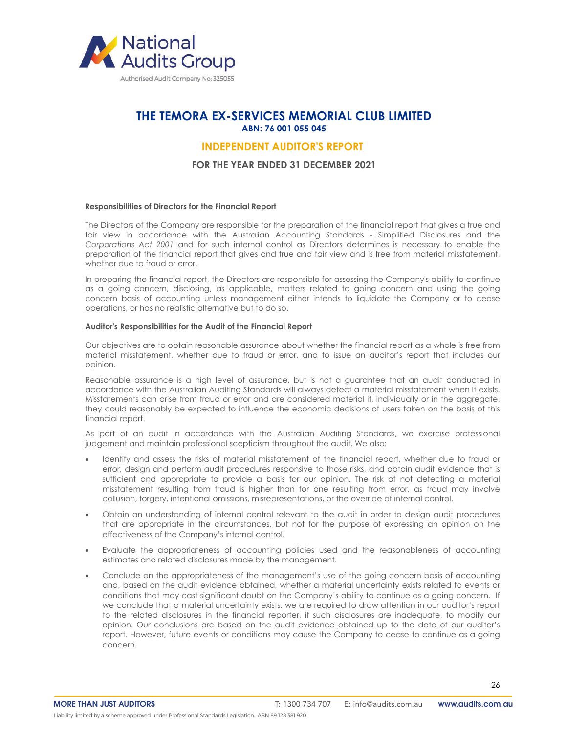

# **INDEPENDENT AUDITOR'S REPORT**

**FOR THE YEAR ENDED 31 DECEMBER 2021**

#### **Responsibilities of Directors for the Financial Report**

The Directors of the Company are responsible for the preparation of the financial report that gives a true and fair view in accordance with the Australian Accounting Standards - Simplified Disclosures and the *Corporations Act 2001* and for such internal control as Directors determines is necessary to enable the preparation of the financial report that gives and true and fair view and is free from material misstatement, whether due to fraud or error.

In preparing the financial report, the Directors are responsible for assessing the Company's ability to continue as a going concern, disclosing, as applicable, matters related to going concern and using the going concern basis of accounting unless management either intends to liquidate the Company or to cease operations, or has no realistic alternative but to do so.

#### **Auditor's Responsibilities for the Audit of the Financial Report**

Our objectives are to obtain reasonable assurance about whether the financial report as a whole is free from material misstatement, whether due to fraud or error, and to issue an auditor's report that includes our opinion.

Reasonable assurance is a high level of assurance, but is not a guarantee that an audit conducted in accordance with the Australian Auditing Standards will always detect a material misstatement when it exists. Misstatements can arise from fraud or error and are considered material if, individually or in the aggregate, they could reasonably be expected to influence the economic decisions of users taken on the basis of this financial report.

As part of an audit in accordance with the Australian Auditing Standards, we exercise professional judgement and maintain professional scepticism throughout the audit. We also:

- Identify and assess the risks of material misstatement of the financial report, whether due to fraud or error, design and perform audit procedures responsive to those risks, and obtain audit evidence that is sufficient and appropriate to provide a basis for our opinion. The risk of not detecting a material misstatement resulting from fraud is higher than for one resulting from error, as fraud may involve collusion, forgery, intentional omissions, misrepresentations, or the override of internal control.
- Obtain an understanding of internal control relevant to the audit in order to design audit procedures that are appropriate in the circumstances, but not for the purpose of expressing an opinion on the effectiveness of the Company's internal control.
- Evaluate the appropriateness of accounting policies used and the reasonableness of accounting estimates and related disclosures made by the management.
- Conclude on the appropriateness of the management's use of the going concern basis of accounting and, based on the audit evidence obtained, whether a material uncertainty exists related to events or conditions that may cast significant doubt on the Company's ability to continue as a going concern. If we conclude that a material uncertainty exists, we are required to draw attention in our auditor's report to the related disclosures in the financial reporter, if such disclosures are inadequate, to modify our opinion. Our conclusions are based on the audit evidence obtained up to the date of our auditor's report. However, future events or conditions may cause the Company to cease to continue as a going concern.